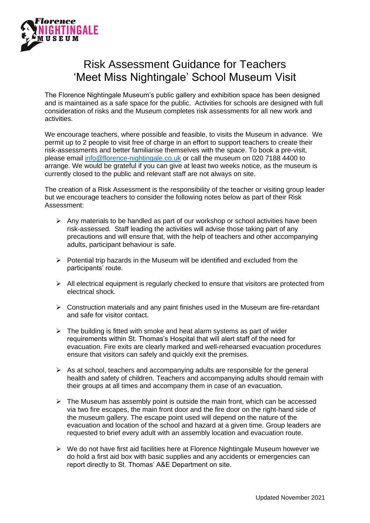

## Risk Assessment Guidance for Teachers 'Meet Miss Nightingale' School Museum Visit

The Florence Nightingale Museum's public gallery and exhibition space has been designed and is maintained as a safe space for the public. Activities for schools are designed with full consideration of risks and the Museum completes risk assessments for all new work and activities.

We encourage teachers, where possible and feasible, to visits the Museum in advance. We permit up to 2 people to visit free of charge in an effort to support teachers to create their risk-assessments and better familiarise themselves with the space. To book a pre-visit, please email [info@florence-nightingale.co.uk](mailto:info@florence-nightingale.co.uk) or call the museum on 020 7188 4400 to arrange. We would be grateful if you can give at least two weeks notice, as the museum is currently closed to the public and relevant staff are not always on site.

The creation of a Risk Assessment is the responsibility of the teacher or visiting group leader but we encourage teachers to consider the following notes below as part of their Risk Assessment:

- $\triangleright$  Any materials to be handled as part of our workshop or school activities have been risk-assessed. Staff leading the activities will advise those taking part of any precautions and will ensure that, with the help of teachers and other accompanying adults, participant behaviour is safe.
- ➢ Potential trip hazards in the Museum will be identified and excluded from the participants' route.
- $\triangleright$  All electrical equipment is regularly checked to ensure that visitors are protected from electrical shock.
- ➢ Construction materials and any paint finishes used in the Museum are fire-retardant and safe for visitor contact.
- $\triangleright$  The building is fitted with smoke and heat alarm systems as part of wider requirements within St. Thomas's Hospital that will alert staff of the need for evacuation. Fire exits are clearly marked and well-rehearsed evacuation procedures ensure that visitors can safely and quickly exit the premises.
- $\triangleright$  As at school, teachers and accompanying adults are responsible for the general health and safety of children. Teachers and accompanying adults should remain with their groups at all times and accompany them in case of an evacuation.
- $\triangleright$  The Museum has assembly point is outside the main front, which can be accessed via two fire escapes, the main front door and the fire door on the right-hand side of the museum gallery. The escape point used will depend on the nature of the evacuation and location of the school and hazard at a given time. Group leaders are requested to brief every adult with an assembly location and evacuation route.
- $\triangleright$  We do not have first aid facilities here at Florence Nightingale Museum however we do hold a first aid box with basic supplies and any accidents or emergencies can report directly to St. Thomas' A&E Department on site.